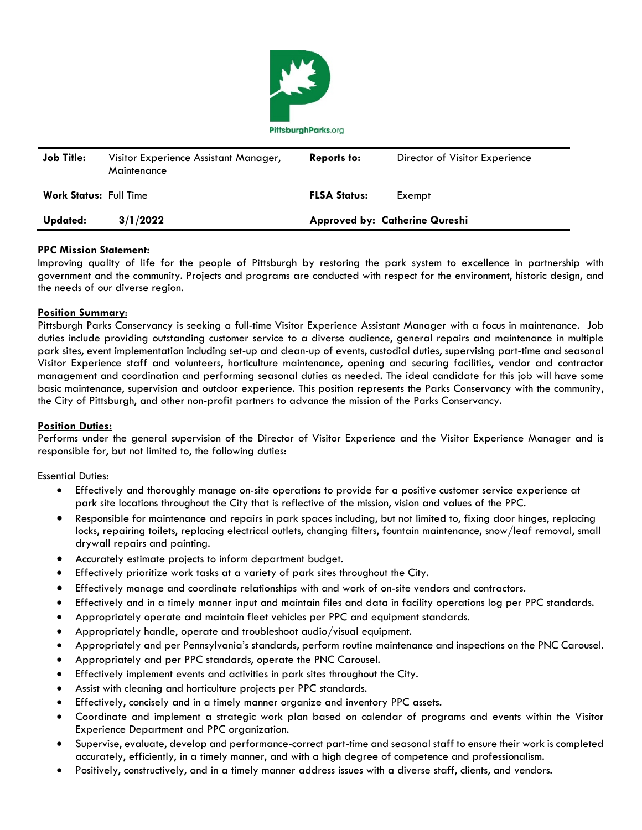

| <b>Job Title:</b>             | Visitor Experience Assistant Manager,<br>Maintenance | <b>Reports to:</b>                    | Director of Visitor Experience |
|-------------------------------|------------------------------------------------------|---------------------------------------|--------------------------------|
| <b>Work Status: Full Time</b> |                                                      | <b>FLSA Status:</b>                   | Exempt                         |
| Updated:                      | 3/1/2022                                             | <b>Approved by: Catherine Qureshi</b> |                                |

## **PPC Mission Statement:**

Improving quality of life for the people of Pittsburgh by restoring the park system to excellence in partnership with government and the community. Projects and programs are conducted with respect for the environment, historic design, and the needs of our diverse region.

## **Position Summary**:

Pittsburgh Parks Conservancy is seeking a full-time Visitor Experience Assistant Manager with a focus in maintenance. Job duties include providing outstanding customer service to a diverse audience, general repairs and maintenance in multiple park sites, event implementation including set-up and clean-up of events, custodial duties, supervising part-time and seasonal Visitor Experience staff and volunteers, horticulture maintenance, opening and securing facilities, vendor and contractor management and coordination and performing seasonal duties as needed. The ideal candidate for this job will have some basic maintenance, supervision and outdoor experience. This position represents the Parks Conservancy with the community, the City of Pittsburgh, and other non-profit partners to advance the mission of the Parks Conservancy.

# **Position Duties:**

Performs under the general supervision of the Director of Visitor Experience and the Visitor Experience Manager and is responsible for, but not limited to, the following duties:

Essential Duties:

- Effectively and thoroughly manage on-site operations to provide for a positive customer service experience at park site locations throughout the City that is reflective of the mission, vision and values of the PPC.
- Responsible for maintenance and repairs in park spaces including, but not limited to, fixing door hinges, replacing locks, repairing toilets, replacing electrical outlets, changing filters, fountain maintenance, snow/leaf removal, small drywall repairs and painting.
- Accurately estimate projects to inform department budget.
- Effectively prioritize work tasks at a variety of park sites throughout the City.
- Effectively manage and coordinate relationships with and work of on-site vendors and contractors.
- Effectively and in a timely manner input and maintain files and data in facility operations log per PPC standards.
- Appropriately operate and maintain fleet vehicles per PPC and equipment standards.
- Appropriately handle, operate and troubleshoot audio/visual equipment.
- Appropriately and per Pennsylvania's standards, perform routine maintenance and inspections on the PNC Carousel.
- Appropriately and per PPC standards, operate the PNC Carousel.
- Effectively implement events and activities in park sites throughout the City.
- Assist with cleaning and horticulture projects per PPC standards.
- Effectively, concisely and in a timely manner organize and inventory PPC assets.
- Coordinate and implement a strategic work plan based on calendar of programs and events within the Visitor Experience Department and PPC organization.
- Supervise, evaluate, develop and performance-correct part-time and seasonal staff to ensure their work is completed accurately, efficiently, in a timely manner, and with a high degree of competence and professionalism.
- Positively, constructively, and in a timely manner address issues with a diverse staff, clients, and vendors.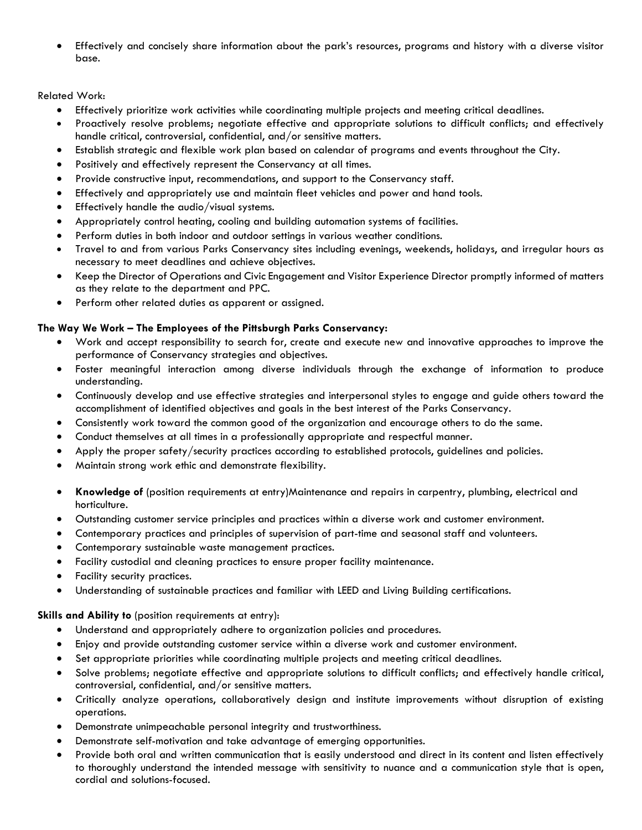• Effectively and concisely share information about the park's resources, programs and history with a diverse visitor base.

# Related Work:

- Effectively prioritize work activities while coordinating multiple projects and meeting critical deadlines.
- Proactively resolve problems; negotiate effective and appropriate solutions to difficult conflicts; and effectively handle critical, controversial, confidential, and/or sensitive matters.
- Establish strategic and flexible work plan based on calendar of programs and events throughout the City.
- Positively and effectively represent the Conservancy at all times.
- Provide constructive input, recommendations, and support to the Conservancy staff.
- Effectively and appropriately use and maintain fleet vehicles and power and hand tools.
- Effectively handle the audio/visual systems.
- Appropriately control heating, cooling and building automation systems of facilities.
- Perform duties in both indoor and outdoor settings in various weather conditions.
- Travel to and from various Parks Conservancy sites including evenings, weekends, holidays, and irregular hours as necessary to meet deadlines and achieve objectives.
- Keep the Director of Operations and Civic Engagement and Visitor Experience Director promptly informed of matters as they relate to the department and PPC.
- Perform other related duties as apparent or assigned.

## **The Way We Work – The Employees of the Pittsburgh Parks Conservancy:**

- Work and accept responsibility to search for, create and execute new and innovative approaches to improve the performance of Conservancy strategies and objectives.
- Foster meaningful interaction among diverse individuals through the exchange of information to produce understanding.
- Continuously develop and use effective strategies and interpersonal styles to engage and guide others toward the accomplishment of identified objectives and goals in the best interest of the Parks Conservancy.
- Consistently work toward the common good of the organization and encourage others to do the same.
- Conduct themselves at all times in a professionally appropriate and respectful manner.
- Apply the proper safety/security practices according to established protocols, guidelines and policies.
- Maintain strong work ethic and demonstrate flexibility.
- **Knowledge of** (position requirements at entry)Maintenance and repairs in carpentry, plumbing, electrical and horticulture.
- Outstanding customer service principles and practices within a diverse work and customer environment.
- Contemporary practices and principles of supervision of part-time and seasonal staff and volunteers.
- Contemporary sustainable waste management practices.
- Facility custodial and cleaning practices to ensure proper facility maintenance.
- Facility security practices.
- Understanding of sustainable practices and familiar with LEED and Living Building certifications.

#### **Skills and Ability to** (position requirements at entry):

- Understand and appropriately adhere to organization policies and procedures.
- Enjoy and provide outstanding customer service within a diverse work and customer environment.
- Set appropriate priorities while coordinating multiple projects and meeting critical deadlines.
- Solve problems; negotiate effective and appropriate solutions to difficult conflicts; and effectively handle critical, controversial, confidential, and/or sensitive matters.
- Critically analyze operations, collaboratively design and institute improvements without disruption of existing operations.
- Demonstrate unimpeachable personal integrity and trustworthiness.
- Demonstrate self-motivation and take advantage of emerging opportunities.
- Provide both oral and written communication that is easily understood and direct in its content and listen effectively to thoroughly understand the intended message with sensitivity to nuance and a communication style that is open, cordial and solutions-focused.